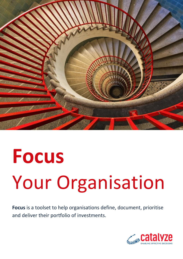

# **Focus**  Your Organisation

**Focus** is a toolset to help organisations define, document, prioritise and deliver their portfolio of investments.

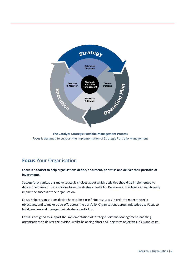

**The Catalyze Strategic Portfolio Management Process** Focus is designed to support the implementation of Strategic Portfolio Management

# **Focus** Your Organisation

#### **Focus is a toolset to help organisations define, document, prioritise and deliver their portfolio of investments.**

Successful organisations make strategic choices about which activities should be implemented to deliver their vision. These choices form the strategic portfolio. Decisions at this level can significantly impact the success of the organisation.

Focus helps organisations decide how to best use finite resources in order to meet strategic objectives, and to make trade-offs across the portfolio. Organisations across industries use Focus to build, analyse and manage their strategic portfolios.

Focus is designed to support the implementation of Strategic Portfolio Management, enabling organisations to deliver their vision, whilst balancing short and long term objectives, risks and costs.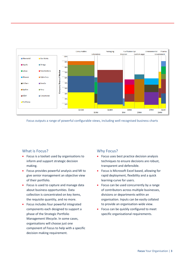

Focus outputs a range of powerful configurable views, including well recognised business charts

#### What is Focus?

- Focus is a toolset used by organisations to inform and support strategic decision making.
- Focus provides powerful analysis and MI to give senior management an objective view of their portfolio.
- Focus is used to capture and manage data about business opportunities. Data collection is concentrated on key items, the requisite quantity, and no more.
- Focus includes four powerful integrated components each designed to support a phase of the Strategic Portfolio Management lifecycle. In some cases, organisations will choose just one component of Focus to help with a specific decision making requirement.

### Why Focus?

- **•** Focus uses best practice decision analysis techniques to ensure decisions are robust, transparent and defensible.
- Focus is Microsoft Excel based, allowing for rapid deployment, flexibility and a quick learning-curve for users.
- Focus can be used concurrently by a range of contributors across multiple businesses, divisions or departments within an organisation. Inputs can be easily collated to provide an organisation-wide view.
- Focus can be quickly configured to meet specific organisational requirements.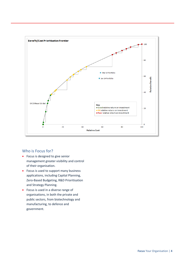

#### Who is Focus for?

- Focus is designed to give senior management greater visibility and control of their organisation.
- Focus is used to support many business applications, including Capital Planning, Zero-Based Budgeting, R&D Prioritisation and Strategy Planning.
- Focus is used in a diverse range of organisations, in both the private and public sectors, from biotechnology and manufacturing, to defence and government.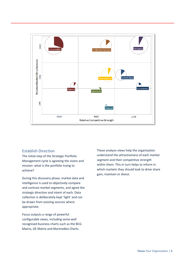

#### Establish Direction

The initial step of the Strategic Portfolio Management cycle is agreeing the vision and mission: what is the portfolio trying to achieve?

During this discovery phase, market data and intelligence is used to objectively compare and contrast market segments, and agree the strategic direction and intent of each. Data collection is deliberately kept 'light' and can be drawn from existing sources where appropriate.

Focus outputs a range of powerful configurable views, including some well recognised business charts such as the BCG Matrix, GE Matrix and Marimekko Charts.

These analysis views help the organisation understand the attractiveness of each market segment and their competitive strength within them. This in turn helps to inform in which markets they should look to drive share gain, maintain or divest.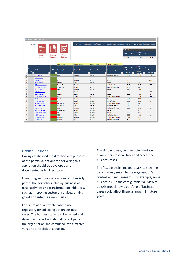|                                       | <b>Business Case Overview</b>                  |                                        |                                       |                                                                                                                                                                   |                                                                             |                                                  |                                                       |                                                    |                                                                   |  |  |  |  |
|---------------------------------------|------------------------------------------------|----------------------------------------|---------------------------------------|-------------------------------------------------------------------------------------------------------------------------------------------------------------------|-----------------------------------------------------------------------------|--------------------------------------------------|-------------------------------------------------------|----------------------------------------------------|-------------------------------------------------------------------|--|--|--|--|
|                                       | <b>MENU</b>                                    |                                        |                                       | Risk ON   Prioritisation: Benefit/Cost   Current Order: Live Prioritisation   Current Portfolio: Manual Selection Mode<br><b>Totals from selected activities:</b> |                                                                             |                                                  |                                                       |                                                    |                                                                   |  |  |  |  |
|                                       | <b>Create</b>                                  | Import                                 | <b>Delete</b>                         |                                                                                                                                                                   |                                                                             |                                                  | 2014 Rev (\$M)                                        | 2014 EBITA<br>(SM)                                 | 2014 Total FTEs                                                   |  |  |  |  |
|                                       | Option                                         | <b>Options</b>                         | <b>Options</b>                        |                                                                                                                                                                   |                                                                             |                                                  | 115.7                                                 | 41.30                                              | 373.71                                                            |  |  |  |  |
|                                       |                                                |                                        |                                       |                                                                                                                                                                   |                                                                             |                                                  |                                                       |                                                    |                                                                   |  |  |  |  |
| <b>Delete</b><br>$\blacktriangledown$ | Select to<br>Option<br>$\overline{\mathbf{v}}$ | In/Out<br>$\mathbf{v}$<br>$\mathbf{r}$ | <b>Owning Entity</b><br>Owning Entity | <b>Region Focus</b><br><b>Region Focus</b>                                                                                                                        | <b>Resource Status</b><br><b>Resource Status</b><br>$\overline{\mathbf{v}}$ | <b>Option Category</b><br><b>Option Category</b> | 2014 Rev (\$M)<br>Current<br>Forecast<br>$\mathbf{v}$ | 2014 EBITA<br>(SM)<br>Current<br>Forecast <b>v</b> | 2014 Total FTEs<br>Current<br>Forecast<br>$\overline{\mathbf{v}}$ |  |  |  |  |
| $\mathbf{1}$                          | <b>SAL1 Mag Sec</b>                            |                                        | <b>Sales</b>                          | <b>Americas</b>                                                                                                                                                   | <b>Active</b>                                                               | <b>Market Penetration</b>                        | 36.02                                                 | 12.00                                              | 79.8                                                              |  |  |  |  |
| 2                                     | <b>SVC1 Hyd Ship</b>                           |                                        | <b>Service Ops</b>                    | <b>APAC</b>                                                                                                                                                       | Active                                                                      | Harvet                                           | 7.92                                                  | 0.67                                               | 69.5                                                              |  |  |  |  |
| 3                                     | <b>HRO Stat Laser</b>                          |                                        | <b>HR</b>                             | Americas                                                                                                                                                          | <b>Active</b>                                                               | Enabler                                          | 10.77                                                 | 4.54                                               | 25.6                                                              |  |  |  |  |
| 4                                     | <b>FNCO Curiosity</b>                          |                                        | <b>Finance</b>                        | <b>EMEA</b>                                                                                                                                                       | <b>Active</b>                                                               | Enabler                                          | 20.60                                                 | 7.89                                               | 102.7                                                             |  |  |  |  |
| 5                                     | <b>SVCO Remote Detect</b>                      |                                        | <b>Service Ops</b>                    | Global                                                                                                                                                            | <b>Active</b>                                                               | <b>Market Penetration</b>                        | 9.45                                                  | 3.46                                               | 19.7                                                              |  |  |  |  |
| 6                                     | <b>SVCO Pisces Sensor</b>                      |                                        | <b>Service Ops</b>                    | Global                                                                                                                                                            | <b>Active</b>                                                               | <b>Market Development</b>                        | 1.56                                                  | 0.80                                               | 1.5                                                               |  |  |  |  |
| $\overline{7}$                        | <b>SALO Dig Pan Miss</b>                       |                                        | <b>Sales</b>                          | Americas                                                                                                                                                          | <b>Active</b>                                                               | Harvest                                          | 3.62                                                  | 1.61                                               | 2.9                                                               |  |  |  |  |
| 8                                     | OPSO NF Plan Cam                               |                                        | <b>Operations</b>                     | Global                                                                                                                                                            | <b>Active</b>                                                               | Enabler                                          | 21.33                                                 | 13.89                                              | 19.7                                                              |  |  |  |  |
| 9                                     | <b>FNC1 Spitzer 2</b>                          |                                        | <b>Finance</b>                        | Global                                                                                                                                                            | <b>Active</b>                                                               | Enabler                                          | 0.00                                                  | $-1.18$                                            | 7.8                                                               |  |  |  |  |
| 10                                    | <b>RD2 Interlock Power</b>                     |                                        | R&D                                   | Global                                                                                                                                                            | Active                                                                      | <b>Product Development</b>                       | 0.00                                                  | $-1.75$                                            | 18.8                                                              |  |  |  |  |
| 11                                    | <b>LOGO E-Merlin</b>                           |                                        | Logistics                             | Global                                                                                                                                                            | <b>Active</b>                                                               | <b>Harvest</b>                                   | 3.36                                                  | 1.81                                               | 3.3                                                               |  |  |  |  |
| 12                                    | <b>HR4 NF Opt Cam</b>                          |                                        | HR.                                   | Global                                                                                                                                                            | Inactive                                                                    | <b>Diversification</b>                           | 0.10                                                  | 0.03                                               | 0.7                                                               |  |  |  |  |
| 13                                    | <b>ENG2 Res Radio</b>                          |                                        | Engineering                           | Global                                                                                                                                                            | <b>Inactive</b>                                                             | <b>Product Development</b>                       | 0.65                                                  | 0.43                                               | 0.6                                                               |  |  |  |  |
| 14                                    | <b>SVC4 Near UV det</b>                        |                                        | <b>Service Ops</b>                    | <b>EMEA</b>                                                                                                                                                       | <b>Active</b>                                                               | <b>Market Penetration</b>                        | 0.80                                                  | 0.38                                               | 0.5                                                               |  |  |  |  |
| 15                                    | <b>SAL4 Vir Group</b>                          |                                        | <b>Sales</b>                          | <b>Americas</b>                                                                                                                                                   | <b>Active</b>                                                               | <b>Market Development</b>                        | 0.75                                                  | 0.03                                               | 2.1                                                               |  |  |  |  |
| 16                                    | <b>COM1 Om Cen Scale</b>                       |                                        | Commercial                            | Global                                                                                                                                                            | Inactive                                                                    | Enabler                                          | 0.00                                                  | $-0.33$                                            | 2.0                                                               |  |  |  |  |
| 17                                    | <b>RD1 RG Mass Spect</b>                       |                                        | R&D                                   | Global                                                                                                                                                            | Inactive                                                                    | Harvest                                          | 0.20                                                  | 0.12                                               | 0.6                                                               |  |  |  |  |
| 18                                    | <b>RD5 M Sequencer</b>                         |                                        | R&D                                   | <b>EMEA</b>                                                                                                                                                       | Inactive                                                                    | <b>Market Penetration</b>                        | 0.20                                                  | $-0.03$                                            | 0.3                                                               |  |  |  |  |
| 19                                    | <b>LOG3 Sirius Det</b>                         |                                        | Logistics                             | Americas                                                                                                                                                          | <b>Inactive</b>                                                             | <b>Product Development</b>                       | 0.27                                                  | $-0.01$                                            | 0.7                                                               |  |  |  |  |
| 20                                    | <b>LOG6 BH Gen</b>                             |                                        | Logistics                             | <b>APAC</b>                                                                                                                                                       | Active                                                                      | <b>Market Development</b>                        | 3.00                                                  | 1.49                                               | 3.8                                                               |  |  |  |  |

#### Create Options

Having established the direction and purpose of the portfolio, options for delivering this aspiration should be developed and documented as business cases.

Everything an organisation does is potentially part of the portfolio, including business-asusual activities and transformation initiatives, such as improving customer services, driving growth or entering a new market.

Focus provides a flexible easy to use repository for collecting option business cases. The business cases can be owned and developed by individuals in different parts of the organisation and combined into a master version at the click of a button.

The simple to use, configurable interface allows users to view, track and access the business cases.

The flexible design makes it easy to view the data in a way suited to the organisation's context and requirements. For example, some businesses use the configurable P&L view to quickly model how a portfolio of business cases could affect financial growth in future years.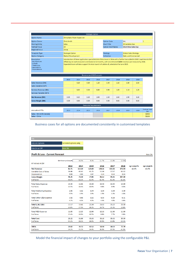| <b>Strategic Option</b>                                                                                                                                                                                                                                                                                                                                                                                                              |                           |      |                                 |      |                          |      |                              |              |                       |  |
|--------------------------------------------------------------------------------------------------------------------------------------------------------------------------------------------------------------------------------------------------------------------------------------------------------------------------------------------------------------------------------------------------------------------------------------|---------------------------|------|---------------------------------|------|--------------------------|------|------------------------------|--------------|-----------------------|--|
| <b>Option Name</b><br>China Sales Team Expansion                                                                                                                                                                                                                                                                                                                                                                                     |                           |      |                                 |      |                          |      |                              |              |                       |  |
| <b>Option Owner</b>                                                                                                                                                                                                                                                                                                                                                                                                                  | <b>Chris Smith</b>        |      |                                 |      | <b>Option Code</b>       |      | <b>SAL</b>                   | $\mathbf{1}$ |                       |  |
| <b>Owning Entity</b>                                                                                                                                                                                                                                                                                                                                                                                                                 | <b>Sales</b>              |      |                                 |      | <b>Short Title</b>       |      | China Sales Exp              |              |                       |  |
| <b>Vertical Focus</b>                                                                                                                                                                                                                                                                                                                                                                                                                | AII                       |      |                                 |      | <b>Option Short Name</b> |      | <b>SAL1 China Sales Exp</b>  |              |                       |  |
| <b>Regional Focus</b>                                                                                                                                                                                                                                                                                                                                                                                                                | China                     |      |                                 |      |                          |      |                              |              |                       |  |
| <b>Template Type</b>                                                                                                                                                                                                                                                                                                                                                                                                                 | <b>Strategic Option</b>   |      |                                 |      | Strategy                 |      | <b>Global Sales Strategy</b> |              |                       |  |
| <b>Option Category</b>                                                                                                                                                                                                                                                                                                                                                                                                               | <b>Market Development</b> |      |                                 |      | Collection               |      | Sales and Commercial         |              |                       |  |
| Description<br>Introduction of three application specialists into China team in 2014 with a further two added in 2015. Lead time to full<br>- Key Objectives<br>efficiency on each resource is estimated at 12 months, with an estimated \$400K revenue per resource by 2016.<br>Outputs<br>Expanded team will also support the Asia launch of Labtrix v5, scheduled for June 2015.<br>- Timeframes<br>- Assumptions<br>Dependencies |                           |      |                                 |      |                          |      |                              |              |                       |  |
|                                                                                                                                                                                                                                                                                                                                                                                                                                      |                           |      | <b>Revenue and GM Forecasts</b> |      |                          |      |                              |              |                       |  |
|                                                                                                                                                                                                                                                                                                                                                                                                                                      | 2013                      | 2014 | 2015                            | 2016 | 2017                     | 2018 | 2019                         | 2020         |                       |  |
| Sales Revenue (\$M)                                                                                                                                                                                                                                                                                                                                                                                                                  |                           | 0.20 | 0.80                            | 1.20 | 1.40                     | 1.60 | 1.80                         | 2.00         |                       |  |
| Sales Variable GM %                                                                                                                                                                                                                                                                                                                                                                                                                  |                           |      |                                 |      |                          |      |                              |              |                       |  |
| Services Revenue (SM)                                                                                                                                                                                                                                                                                                                                                                                                                |                           | 0.05 | 0.30                            | 0.80 | 0.90                     | 1.00 | 1.10                         | 1.20         |                       |  |
| Services Variable GM %                                                                                                                                                                                                                                                                                                                                                                                                               |                           |      |                                 |      |                          |      |                              |              |                       |  |
| Net Revenue (\$M)                                                                                                                                                                                                                                                                                                                                                                                                                    | 0.00                      | 0.25 | 1.10                            | 2.00 | 2.30                     | 2.60 | 2.90                         | 3.20         |                       |  |
| <b>Gross Margin (\$M)</b>                                                                                                                                                                                                                                                                                                                                                                                                            | 0.00                      | 0.00 | 0.00                            | 0.00 | 0.00                     | 0.00 | 0.00                         | 0.00         |                       |  |
| <b>Resource Requirements</b>                                                                                                                                                                                                                                                                                                                                                                                                         |                           |      |                                 |      |                          |      |                              |              |                       |  |
| <b>Annualised FTEs</b>                                                                                                                                                                                                                                                                                                                                                                                                               | 2013                      | 2014 | 2015                            | 2016 | 2017                     | 2018 | 2019                         | 2020         | Cost per head<br>(SK) |  |
| Sales - NA (US & Canada)                                                                                                                                                                                                                                                                                                                                                                                                             |                           |      |                                 |      |                          |      |                              |              | <b>\$190K</b>         |  |
| Sales - China                                                                                                                                                                                                                                                                                                                                                                                                                        |                           |      |                                 |      |                          |      |                              |              | <b>\$110K</b>         |  |

## Business cases for all options are documented consistently in customised templates

| P&L                                         |                       |        |        |        |        |        |            |                |
|---------------------------------------------|-----------------------|--------|--------|--------|--------|--------|------------|----------------|
| <b>Include Options</b>                      | Selected options only |        |        |        |        |        |            |                |
| Risk On or Off                              | <b>Risk ON</b>        |        |        |        |        |        |            |                |
| <b>Profit &amp; Loss - Current Forecast</b> |                       |        |        |        |        |        |            | <b>Risk ON</b> |
|                                             | Net Revenue Growth    | 36.9%  | 9.3%   | 11.7%  | 11.3%  | 12.5%  |            |                |
| All values in \$M                           |                       |        |        |        |        |        |            |                |
|                                             | 2013                  | 2014   | 2015   | 2016   | 2017   | 2018   | 3yr CAGR % | 5yr CAGR%      |
| <b>Net Revenue</b>                          | 82.71                 | 113.20 | 123.69 | 138.11 | 153.66 | 172.94 | 18.6%      | 15.9%          |
| Variable Cost of Sales                      | 34.46                 | 41.63  | 45.76  | 51.84  | 57.87  | 65.12  |            |                |
| Depreciation                                | 0.00                  | 0.00   | 0.07   | 0.14   | 0.14   | 0.14   |            |                |
| <b>Gross Margin</b>                         | 48.25                 | 71.58  | 77.86  | 86.12  | 95.65  | 107.68 |            |                |
| % of Sales                                  | 58.3%                 | 63.2%  | 62.9%  | 62.4%  | 62.2%  | 62.3%  |            |                |
| <b>Total Sales Expense</b>                  | 10.33                 | 11.81  | 13.38  | 13.58  | 13.65  | 13.80  |            |                |
| % of Sales                                  | 12.5%                 | 10.4%  | 10.8%  | 9.8%   | 8.9%   | 8.0%   |            |                |
| <b>Total Marketing Expense</b>              | 2.93                  | 3.32   | 3.44   | 3.39   | 3.39   | 3.39   |            |                |
| % of Sales                                  | 3.5%                  | 2.9%   | 2.8%   | 2.5%   | 2.2%   | 2.0%   |            |                |
| <b>Total Other G&amp;A Expense</b>          | 3.92                  | 4.48   | 5.52   | 6.05   | 6.18   | 6.31   |            |                |
| % of Sales                                  | 4.7%                  | 4.0%   | 4.5%   | 4.4%   | 4.0%   | 3.6%   |            |                |
| Total S, M, G&A                             | 17.17                 | 19.61  | 22.34  | 23.02  | 23.22  | 23.50  |            |                |
| % of Sales                                  | 20.8%                 | 17.3%  | 18.1%  | 16.7%  | 15.1%  | 13.6%  |            |                |
| <b>Total R&amp;D Expense</b>                | 11.05                 | 12.25  | 12.99  | 12.16  | 11.80  | 11.80  |            |                |
| % of Sales                                  | 13.4%                 | 10.8%  | 10.5%  | 8.8%   | 7.7%   | 6.8%   |            |                |
| <b>Total Cost</b>                           | 28.22                 | 31.86  | 35.33  | 35.18  | 35.02  | 35.30  |            |                |
| % of Sales                                  | 34.1%                 | 28.1%  | 28.6%  | 25.5%  | 22.8%  | 20.4%  |            |                |
| <b>EBITA</b>                                | 20.02                 | 39.72  | 42.52  | 50.94  | 60.63  | 72.39  |            |                |
| % of Sales                                  | 24.2%                 | 35.1%  | 34.4%  | 36.9%  | 39.5%  | 41.9%  |            |                |

Model the financial impact of changes to your portfolio using the configurable P&L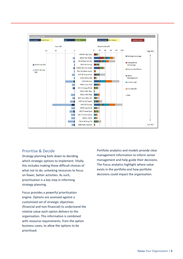

#### Prioritise & Decide

Strategy planning boils down to deciding which strategic options to implement. Vitally this includes making those difficult choices of what not to do, unlocking resources to focus on fewer, better activities. As such, prioritisation is a key step in informing strategy planning.

Focus provides a powerful prioritisation engine. Options are assessed against a customised set of strategic objectives (financial and non-financial) to understand the relative value each option delivers to the organisation. This information is combined with resource requirements, from the option business cases, to allow the options to be prioritised.

Portfolio analytics and models provide clear management information to inform senior management and help guide their decisions. The Focus analytics highlight where value exists in the portfolio and how portfolio decisions could impact the organisation.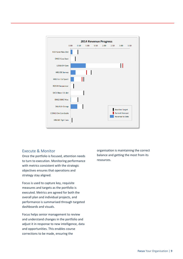

#### Execute & Monitor

Once the portfolio is focused, attention needs to turn to execution. Monitoring performance with metrics consistent with the strategic objectives ensures that operations and strategy stay aligned.

Focus is used to capture key, requisite measures and targets as the portfolio is executed. Metrics are agreed for both the overall plan and individual projects, and performance is summarised through targeted dashboards and visuals.

Focus helps senior management to review and understand changes in the portfolio and adjust it in response to new intelligence, data and opportunities. This enables course corrections to be made, ensuring the

organisation is maintaining the correct balance and getting the most from its resources.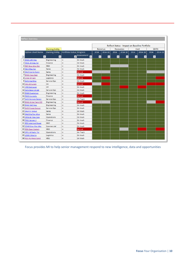| Reflect Overview         |                                           |                           |                 |                                               |                          |              |                      |                      |                      |              |         |
|--------------------------|-------------------------------------------|---------------------------|-----------------|-----------------------------------------------|--------------------------|--------------|----------------------|----------------------|----------------------|--------------|---------|
|                          |                                           |                           |                 | Reflect Status - Impact on Baseline Portfolio |                          |              |                      |                      |                      |              |         |
|                          | <b>Owning Entity</b>                      |                           |                 | Revenue<br><b>Resources</b>                   |                          |              | Cost<br><b>EBITA</b> |                      |                      |              |         |
| Option Short Name        | <b>Owning Entity</b>                      | Portfolio Status Progress |                 | 2014                                          | 2014-18                  | 2014         | 2014-18              | 2014                 | 2014-18              | 2014         | 2014-18 |
| $\overline{\phantom{0}}$ | $\blacksquare$<br>$\overline{\mathbf{v}}$ | $\overline{x}$            | Assessment<br>회 |                                               | $\overline{\phantom{a}}$ | $\mathbf{v}$ |                      | $\blacktriangledown$ | $\blacktriangledown$ | $\mathbf{v}$ |         |
| 1 ENG3 LMC Mac           | Engineering                               | In                        | On track        |                                               |                          |              |                      |                      |                      |              |         |
| 2 FNC6 JW Xray Tel       | Finance                                   | In                        | On track        |                                               |                          |              |                      |                      |                      |              |         |
| 3 RD7 Grav Wav Det       | R&D                                       | In                        | On track        |                                               |                          |              |                      |                      |                      |              |         |
| 4 SAL1 Mag Sec           | <b>Sales</b>                              | In.                       | On track        |                                               |                          |              |                      |                      |                      |              |         |
| 6 SAL3 Cosmo Spect       | <b>Sales</b>                              | In                        | Behind          |                                               |                          |              |                      |                      |                      |              |         |
| 7 ENG5 Cass Seat         | Engineering                               | In                        | On track        |                                               |                          |              |                      |                      |                      |              |         |
| 8 LOG6 BH Gen            | Logistics                                 | In                        | Behind          |                                               |                          |              |                      |                      |                      |              |         |
| 9 SVC1 Hyd Ship          | <b>Service Ops</b>                        | In                        | On track        |                                               |                          |              |                      |                      |                      |              |         |
| 10 HR1 DE Survey         | <b>HR</b>                                 | In.                       | <b>Behind</b>   |                                               |                          |              |                      |                      |                      |              |         |
| 11 HRO Stat Laser        | <b>HR</b>                                 | In.                       | On track        |                                               |                          |              |                      |                      |                      |              |         |
| 14 SVC4 Near UV det      | <b>Service Ops</b>                        | In                        | On track        |                                               |                          |              |                      |                      |                      |              |         |
| 15 ENG3 Escalation       | Engineering                               | In.                       | On track        |                                               |                          |              |                      |                      |                      |              |         |
| 16 FNCO Curiosity        | <b>Finance</b>                            | In.                       | Behind          |                                               |                          |              |                      |                      |                      |              |         |
| 17 SVCO Remote Detect    | <b>Service Ops</b>                        | In                        | On Track        |                                               |                          |              |                      |                      |                      |              |         |
| 18 ENG2 Wide Field CCD   | Engineering                               | In                        | Behind          |                                               |                          |              |                      |                      |                      |              |         |
| 20 ENG2 SMC Mac          | Engineering                               | In.                       | On track        |                                               |                          |              |                      |                      |                      |              |         |
| 22 SVCO Pisces Sensor    | <b>Service Ops</b>                        | In.                       | On track        |                                               |                          |              |                      |                      |                      |              |         |
| 23 SAL4 Vir Group        | <b>Sales</b>                              | In.                       | On track        |                                               |                          |              |                      |                      |                      |              |         |
| 24 SALO Dig Pan Miss     | <b>Sales</b>                              | In.                       | On track        |                                               |                          |              |                      |                      |                      |              |         |
| 28 OPSO NF Plan Cam      | Operations                                | In.                       | On track        |                                               |                          |              |                      |                      |                      |              |         |
| 30 FNC1 Spitzer 2        | <b>Finance</b>                            | In.                       | On track        |                                               |                          |              |                      |                      |                      |              |         |
| 31 RD2 Interlock Power   | R&D                                       | In.                       | On track        |                                               |                          |              |                      |                      |                      |              |         |
| 32 COM3 Grav Wav Mac     | Commercial                                | In.                       | On track        |                                               |                          |              |                      |                      |                      |              |         |
| 33 RD6 Open System       | R&D                                       | In                        | <b>Behind</b>   |                                               |                          |              |                      |                      |                      |              |         |
| 34 OPS1 M Radio Tel      | <b>Operations</b>                         | In.                       | On Track        |                                               |                          |              |                      |                      |                      |              |         |
| 35 LOGO E-Merlin         | Logistics                                 | In                        | On track        |                                               |                          |              |                      |                      |                      |              |         |
| 36 RD1 RG Mass Spect     | R&D                                       | In.                       | On track        |                                               |                          |              |                      |                      |                      |              |         |

Focus provides MI to help senior management respond to new intelligence, data and opportunities